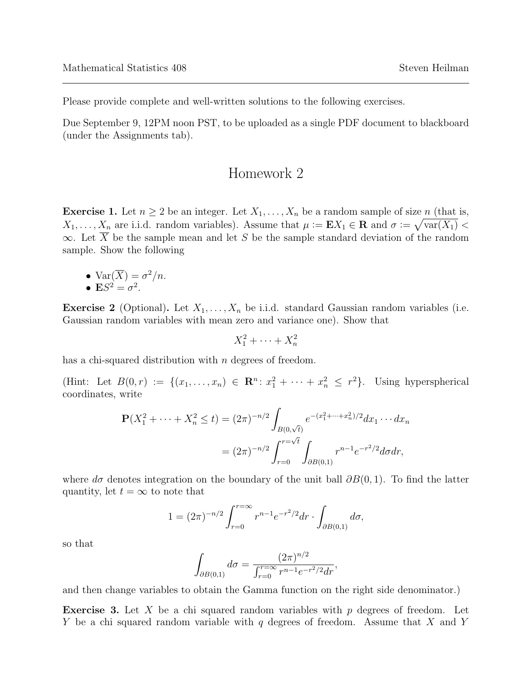Please provide complete and well-written solutions to the following exercises.

Due September 9, 12PM noon PST, to be uploaded as a single PDF document to blackboard (under the Assignments tab).

## Homework 2

**Exercise 1.** Let  $n \geq 2$  be an integer. Let  $X_1, \ldots, X_n$  be a random sample of size n (that is,  $X_1, \ldots, X_n$  are i.i.d. random variables). Assume that  $\mu := \mathbf{E} X_1 \in \mathbf{R}$  and  $\sigma := \sqrt{\text{var}(X_1)}$  $\infty$ . Let  $\overline{X}$  be the sample mean and let S be the sample standard deviation of the random sample. Show the following

•  $\text{Var}(\overline{X}) = \sigma^2/n$ . •  $\mathbf{E}S^2 = \sigma^2$ .

**Exercise 2** (Optional). Let  $X_1, \ldots, X_n$  be i.i.d. standard Gaussian random variables (i.e. Gaussian random variables with mean zero and variance one). Show that

$$
X_1^2 + \dots + X_n^2
$$

has a chi-squared distribution with *n* degrees of freedom.

(Hint: Let  $B(0,r) := \{(x_1,\ldots,x_n) \in \mathbb{R}^n : x_1^2 + \cdots + x_n^2 \leq r^2\}$ . Using hyperspherical coordinates, write

$$
\mathbf{P}(X_1^2 + \dots + X_n^2 \le t) = (2\pi)^{-n/2} \int_{B(0,\sqrt{t})} e^{-(x_1^2 + \dots + x_n^2)/2} dx_1 \dots dx_n
$$

$$
= (2\pi)^{-n/2} \int_{r=0}^{r=\sqrt{t}} \int_{\partial B(0,1)} r^{n-1} e^{-r^2/2} d\sigma dr,
$$

where  $d\sigma$  denotes integration on the boundary of the unit ball  $\partial B(0,1)$ . To find the latter quantity, let  $t = \infty$  to note that

$$
1 = (2\pi)^{-n/2} \int_{r=0}^{r=\infty} r^{n-1} e^{-r^2/2} dr \cdot \int_{\partial B(0,1)} d\sigma,
$$

so that

$$
\int_{\partial B(0,1)} d\sigma = \frac{(2\pi)^{n/2}}{\int_{r=0}^{r=\infty} r^{n-1} e^{-r^2/2} dr},
$$

and then change variables to obtain the Gamma function on the right side denominator.)

**Exercise 3.** Let X be a chi squared random variables with p degrees of freedom. Let Y be a chi squared random variable with q degrees of freedom. Assume that X and Y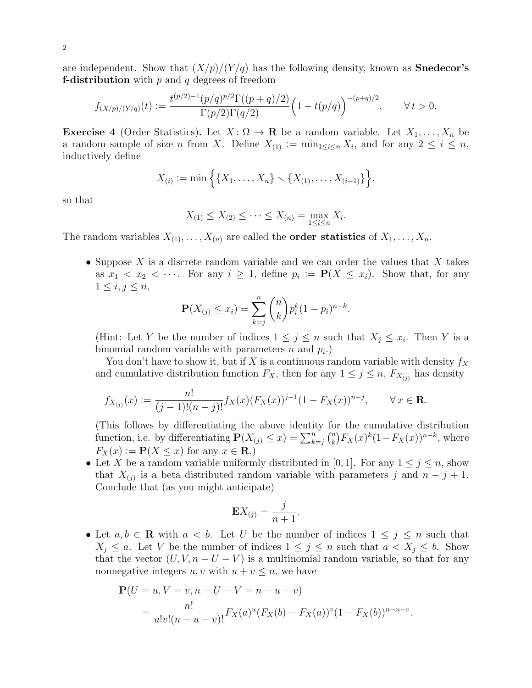are independent. Show that  $(X/p)/(Y/q)$  has the following density, known as **Snedecor's f-distribution** with  $p$  and  $q$  degrees of freedom

$$
f_{(X/p)/(Y/q)}(t) := \frac{t^{(p/2)-1}(p/q)^{p/2}\Gamma((p+q)/2)}{\Gamma(p/2)\Gamma(q/2)} \Big(1+t(p/q)\Big)^{-(p+q)/2}, \qquad \forall \, t > 0.
$$

**Exercise 4** (Order Statistics). Let  $X: \Omega \to \mathbf{R}$  be a random variable. Let  $X_1, \ldots, X_n$  be a random sample of size *n* from X. Define  $X_{(1)} := \min_{1 \leq i \leq n} X_i$ , and for any  $2 \leq i \leq n$ , inductively define

$$
X_{(i)} := \min\{ \{X_1, \ldots, X_n\} \setminus \{X_{(1)}, \ldots, X_{(i-1)}\} \},
$$

so that

$$
X_{(1)} \le X_{(2)} \le \cdots \le X_{(n)} = \max_{1 \le i \le n} X_i.
$$

The random variables  $X_{(1)}, \ldots, X_{(n)}$  are called the **order statistics** of  $X_1, \ldots, X_n$ .

• Suppose X is a discrete random variable and we can order the values that X takes as  $x_1 < x_2 < \cdots$ . For any  $i \geq 1$ , define  $p_i := \mathbf{P}(X \leq x_i)$ . Show that, for any  $1 \leq i, j \leq n$ ,

$$
\mathbf{P}(X_{(j)} \le x_i) = \sum_{k=j}^{n} {n \choose k} p_i^{k} (1-p_i)^{n-k}.
$$

(Hint: Let Y be the number of indices  $1 \leq j \leq n$  such that  $X_j \leq x_i$ . Then Y is a binomial random variable with parameters  $n$  and  $p_i$ .)

You don't have to show it, but if X is a continuous random variable with density  $f_X$ and cumulative distribution function  $F_X$ , then for any  $1 \leq j \leq n$ ,  $F_{X_{(j)}}$  has density

$$
f_{X_{(j)}}(x) := \frac{n!}{(j-1)!(n-j)!} f_X(x) (F_X(x))^{j-1} (1 - F_X(x))^{n-j}, \qquad \forall x \in \mathbf{R}.
$$

(This follows by differentiating the above identity for the cumulative distribution function, i.e. by differentiating  $\mathbf{P}(X_{(j)} \leq x) = \sum_{k=j}^{n} {n \choose k}$  $\binom{n}{k} F_X(x)^k (1 - F_X(x))^{n-k}$ , where  $F_X(x) := \mathbf{P}(X \leq x)$  for any  $x \in \mathbf{R}$ .)

• Let X be a random variable uniformly distributed in [0, 1]. For any  $1 \leq j \leq n$ , show that  $X_{(j)}$  is a beta distributed random variable with parameters j and  $n - j + 1$ . Conclude that (as you might anticipate)

$$
\mathbf{E}X_{(j)} = \frac{j}{n+1}.
$$

• Let  $a, b \in \mathbb{R}$  with  $a < b$ . Let U be the number of indices  $1 \leq j \leq n$  such that  $X_j \leq a$ . Let V be the number of indices  $1 \leq j \leq n$  such that  $a < X_j \leq b$ . Show that the vector  $(U, V, n - U - V)$  is a multinomial random variable, so that for any nonnegative integers  $u, v$  with  $u + v \leq n$ , we have

$$
\mathbf{P}(U = u, V = v, n - U - V = n - u - v)
$$
  
= 
$$
\frac{n!}{u!v!(n - u - v)!} F_X(a)^u (F_X(b) - F_X(a))^v (1 - F_X(b))^{n - u - v}.
$$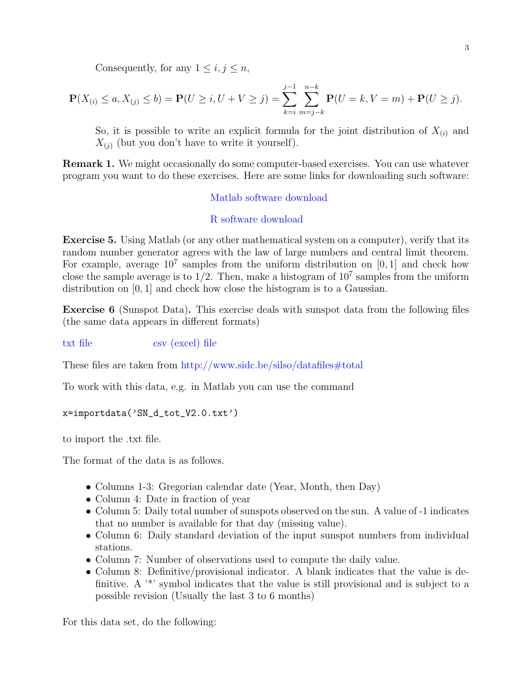Consequently, for any  $1 \leq i, j \leq n$ ,

$$
\mathbf{P}(X_{(i)} \le a, X_{(j)} \le b) = \mathbf{P}(U \ge i, U + V \ge j) = \sum_{k=i}^{j-1} \sum_{m=j-k}^{n-k} \mathbf{P}(U = k, V = m) + \mathbf{P}(U \ge j).
$$

So, it is possible to write an explicit formula for the joint distribution of  $X_{(i)}$  and  $X_{(i)}$  (but you don't have to write it yourself).

Remark 1. We might occasionally do some computer-based exercises. You can use whatever program you want to do these exercises. Here are some links for downloading such software:

## [Matlab software download](https://www.mathworks.com/academia/tah-portal/university-of-southern-california-623588.html)

## [R software download](https://www.r-project.org/)

Exercise 5. Using Matlab (or any other mathematical system on a computer), verify that its random number generator agrees with the law of large numbers and central limit theorem. For example, average  $10^7$  samples from the uniform distribution on [0,1] and check how close the sample average is to  $1/2$ . Then, make a histogram of  $10^7$  samples from the uniform distribution on [0, 1] and check how close the histogram is to a Gaussian.

Exercise 6 (Sunspot Data). This exercise deals with sunspot data from the following files (the same data appears in different formats)

[txt file](http://www.sidc.be/silso/DATA/SN_d_tot_V2.0.txt) [csv \(excel\) file](http://www.sidc.be/silso/INFO/sndtotcsv.php)

These files are taken from <http://www.sidc.be/silso/datafiles#total>

To work with this data, e.g. in Matlab you can use the command

```
x=importdata('SN_d_tot_V2.0.txt')
```
to import the .txt file.

The format of the data is as follows.

- Columns 1-3: Gregorian calendar date (Year, Month, then Day)
- Column 4: Date in fraction of year
- Column 5: Daily total number of sunspots observed on the sun. A value of -1 indicates that no number is available for that day (missing value).
- Column 6: Daily standard deviation of the input sunspot numbers from individual stations.
- Column 7: Number of observations used to compute the daily value.
- Column 8: Definitive/provisional indicator. A blank indicates that the value is definitive. A <sup>\*\*</sup>' symbol indicates that the value is still provisional and is subject to a possible revision (Usually the last 3 to 6 months)

For this data set, do the following: